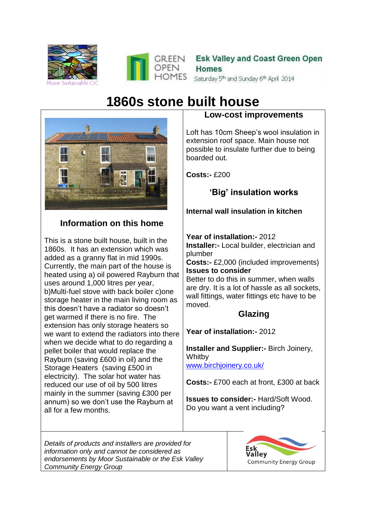



# **1860s stone built house**



## **Information on this home**

This is a stone built house, built in the 1860s. It has an extension which was added as a granny flat in mid 1990s. Currently, the main part of the house is heated using a) oil powered Rayburn that uses around 1,000 litres per year, b)Multi-fuel stove with back boiler c)one storage heater in the main living room as this doesn't have a radiator so doesn't get warmed if there is no fire. The extension has only storage heaters so we want to extend the radiators into there when we decide what to do regarding a pellet boiler that would replace the Rayburn (saving £600 in oil) and the Storage Heaters (saving £500 in electricity). The solar hot water has reduced our use of oil by 500 litres mainly in the summer (saving £300 per annum) so we don't use the Rayburn at all for a few months.

#### **Low-cost improvements**

Loft has 10cm Sheep's wool insulation in extension roof space. Main house not possible to insulate further due to being boarded out.

**Costs:-** £200

# **'Big' insulation works**

### **Internal wall insulation in kitchen**

**Year of installation:-** 2012

**Installer:-** Local builder, electrician and plumber

**Costs:-** £2,000 (included improvements) **Issues to consider**

Better to do this in summer, when walls are dry. It is a lot of hassle as all sockets, wall fittings, water fittings etc have to be moved.

## **Glazing**

**Year of installation:-** 2012

**Installer and Supplier:-** Birch Joinery, **Whitby** [www.birchjoinery.co.uk/](http://www.birchjoinery.co.uk/)

**Costs:-** £700 each at front, £300 at back

**Issues to consider:-** Hard/Soft Wood. Do you want a vent including?

*Details of products and installers are provided for information only and cannot be considered as endorsements by Moor Sustainable or the Esk Valley Community Energy Group*